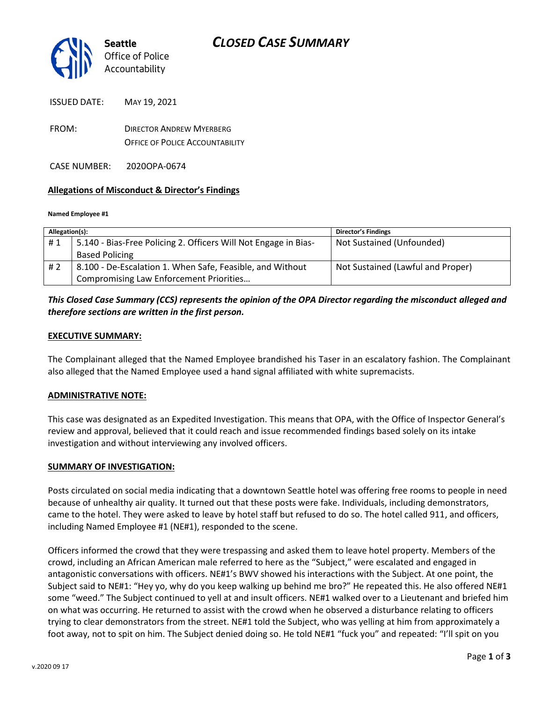

| <b>ISSUED DATE:</b> | MAY 19, 2021 |
|---------------------|--------------|
|                     |              |

FROM: DIRECTOR ANDREW MYERBERG OFFICE OF POLICE ACCOUNTABILITY

CASE NUMBER: 2020OPA-0674

### **Allegations of Misconduct & Director's Findings**

#### **Named Employee #1**

| Allegation(s): |                                                                 | <b>Director's Findings</b>        |
|----------------|-----------------------------------------------------------------|-----------------------------------|
| #1             | 5.140 - Bias-Free Policing 2. Officers Will Not Engage in Bias- | Not Sustained (Unfounded)         |
|                | <b>Based Policing</b>                                           |                                   |
| # 2            | 8.100 - De-Escalation 1. When Safe, Feasible, and Without       | Not Sustained (Lawful and Proper) |
|                | Compromising Law Enforcement Priorities                         |                                   |

## *This Closed Case Summary (CCS) represents the opinion of the OPA Director regarding the misconduct alleged and therefore sections are written in the first person.*

### **EXECUTIVE SUMMARY:**

The Complainant alleged that the Named Employee brandished his Taser in an escalatory fashion. The Complainant also alleged that the Named Employee used a hand signal affiliated with white supremacists.

### **ADMINISTRATIVE NOTE:**

This case was designated as an Expedited Investigation. This means that OPA, with the Office of Inspector General's review and approval, believed that it could reach and issue recommended findings based solely on its intake investigation and without interviewing any involved officers.

### **SUMMARY OF INVESTIGATION:**

Posts circulated on social media indicating that a downtown Seattle hotel was offering free rooms to people in need because of unhealthy air quality. It turned out that these posts were fake. Individuals, including demonstrators, came to the hotel. They were asked to leave by hotel staff but refused to do so. The hotel called 911, and officers, including Named Employee #1 (NE#1), responded to the scene.

Officers informed the crowd that they were trespassing and asked them to leave hotel property. Members of the crowd, including an African American male referred to here as the "Subject," were escalated and engaged in antagonistic conversations with officers. NE#1's BWV showed his interactions with the Subject. At one point, the Subject said to NE#1: "Hey yo, why do you keep walking up behind me bro?" He repeated this. He also offered NE#1 some "weed." The Subject continued to yell at and insult officers. NE#1 walked over to a Lieutenant and briefed him on what was occurring. He returned to assist with the crowd when he observed a disturbance relating to officers trying to clear demonstrators from the street. NE#1 told the Subject, who was yelling at him from approximately a foot away, not to spit on him. The Subject denied doing so. He told NE#1 "fuck you" and repeated: "I'll spit on you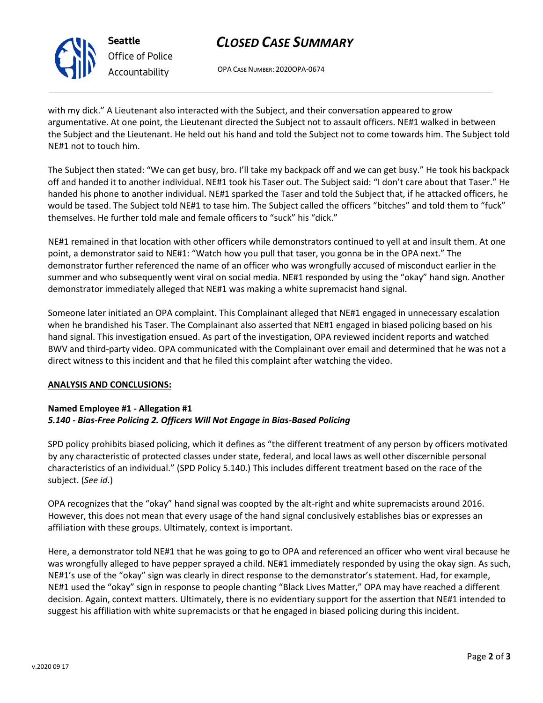

**Seattle** *Office of Police Accountability*

# *CLOSED CASE SUMMARY*

OPA CASE NUMBER: 2020OPA-0674

with my dick." A Lieutenant also interacted with the Subject, and their conversation appeared to grow argumentative. At one point, the Lieutenant directed the Subject not to assault officers. NE#1 walked in between the Subject and the Lieutenant. He held out his hand and told the Subject not to come towards him. The Subject told NE#1 not to touch him.

The Subject then stated: "We can get busy, bro. I'll take my backpack off and we can get busy." He took his backpack off and handed it to another individual. NE#1 took his Taser out. The Subject said: "I don't care about that Taser." He handed his phone to another individual. NE#1 sparked the Taser and told the Subject that, if he attacked officers, he would be tased. The Subject told NE#1 to tase him. The Subject called the officers "bitches" and told them to "fuck" themselves. He further told male and female officers to "suck" his "dick."

NE#1 remained in that location with other officers while demonstrators continued to yell at and insult them. At one point, a demonstrator said to NE#1: "Watch how you pull that taser, you gonna be in the OPA next." The demonstrator further referenced the name of an officer who was wrongfully accused of misconduct earlier in the summer and who subsequently went viral on social media. NE#1 responded by using the "okay" hand sign. Another demonstrator immediately alleged that NE#1 was making a white supremacist hand signal.

Someone later initiated an OPA complaint. This Complainant alleged that NE#1 engaged in unnecessary escalation when he brandished his Taser. The Complainant also asserted that NE#1 engaged in biased policing based on his hand signal. This investigation ensued. As part of the investigation, OPA reviewed incident reports and watched BWV and third-party video. OPA communicated with the Complainant over email and determined that he was not a direct witness to this incident and that he filed this complaint after watching the video.

## **ANALYSIS AND CONCLUSIONS:**

## **Named Employee #1 - Allegation #1** *5.140 - Bias-Free Policing 2. Officers Will Not Engage in Bias-Based Policing*

SPD policy prohibits biased policing, which it defines as "the different treatment of any person by officers motivated by any characteristic of protected classes under state, federal, and local laws as well other discernible personal characteristics of an individual." (SPD Policy 5.140.) This includes different treatment based on the race of the subject. (*See id*.)

OPA recognizes that the "okay" hand signal was coopted by the alt-right and white supremacists around 2016. However, this does not mean that every usage of the hand signal conclusively establishes bias or expresses an affiliation with these groups. Ultimately, context is important.

Here, a demonstrator told NE#1 that he was going to go to OPA and referenced an officer who went viral because he was wrongfully alleged to have pepper sprayed a child. NE#1 immediately responded by using the okay sign. As such, NE#1's use of the "okay" sign was clearly in direct response to the demonstrator's statement. Had, for example, NE#1 used the "okay" sign in response to people chanting "Black Lives Matter," OPA may have reached a different decision. Again, context matters. Ultimately, there is no evidentiary support for the assertion that NE#1 intended to suggest his affiliation with white supremacists or that he engaged in biased policing during this incident.